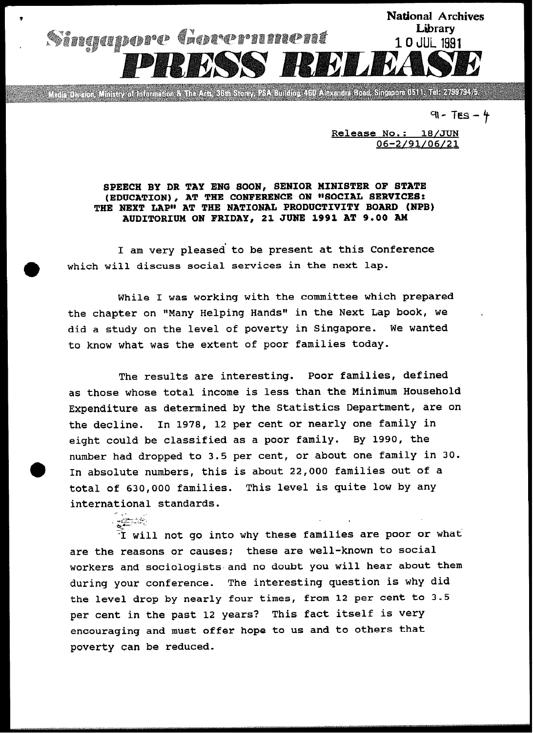

.<br>Media Division, Ministry of Information & The Arts, 36th Storey, PSA Building. 460 Alexandra Road, Singapore 0511. Tel: 2799794/5.

91 - TES – 4

Release No.: 18/JUN 06-2/91/06/21

## SPEECH BY DR TAY ENG SOON, SENIOR MINISTER OF STATE (EDUCATION), AT THE CONFERENCE ON "SOCIAL SERVICES:<br>THE NEXT LAP" AT THE NATIONAL PRODUCTIVITY BOARD (NPB) AUDITORIUM ON FRIDAY, 21 JUNE 1991 AT 9.00 AM

I am very pleased to be present at this Conference which will discuss social services in the next lap.

While I was working with the committee which prepared the chapter on "Many Helping Hands" in the Next Lap book, we did a study on the level of poverty in Singapore. We wanted to know what was the extent of poor families today.

The results are interesting. Poor families, defined as those whose total income is less than the Minimum Household Expenditure as determined by the Statistics Department, are on the decline. In 1978, 12 per cent or nearly one family in eight could be classified as a poor family. By 1990, the number had dropped to 3.5 per cent, or about one family in 30. In absolute numbers, this is about 22,000 families out of a total of 630,000 families. This level is quite low by any international standards. \_\_

 $\tilde{\tau}$  will not go into why these families are poor or what are the reasons or causes: these are well-known to social workers and sociologists. and no doubt you will hear about them during your conference. The interesting question is why did the level drop by nearly four times, from 12 per cent to 3.5 per cent in the past 12 years? This fact itself is very encouraging and must offer hope to us and to others that poverty can be reduced.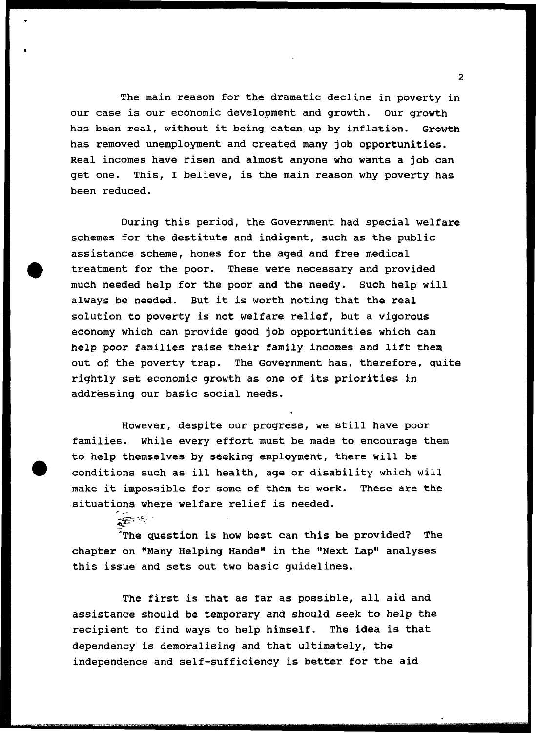The main reason for the dramatic decline in poverty in our case is our economic development and growth. Our growth has been real, without it being eaten up by inflation. Growth has removed unemployment and created many job opportunities. Real incomes have risen and almost anyone who wants a job can get one. This, I believe, is the main reason why poverty has been reduced.

During this period, the Government had special welfare schemes for the destitute and indigent, such as the public assistance scheme, homes for the aged and free medical treatment for the poor. These were necessary and provided much needed help for the poor and the needy. Such help will always be needed. But it is worth noting that the real solution to poverty is not welfare relief, but a vigorous economy which can provide good job opportunities which can help poor families raise their family incomes and lift them out of the poverty trap. The Government has, therefore, quite rightly set economic growth as one of its priorities in addressing our basic social needs.

However, despite our progress, we still have poor families. While every effort must be made to encourage them to help themselves by seeking employment, there will be conditions such as ill health, age or disability which will make it impossible for some of them to work. These are the situations where welfare relief is needed.

'The question is how best can this be provided? The chapter on "Many Helping Hands" in the "Next Lap" analyses this issue and sets out two basic guidelines.

The first is that as far as possible, all aid and assistance should be temporary and should seek to help the recipient to find ways to help himself. The idea is that dependency is demoralising and that ultimately, the independence and self-sufficiency is better for the aid

2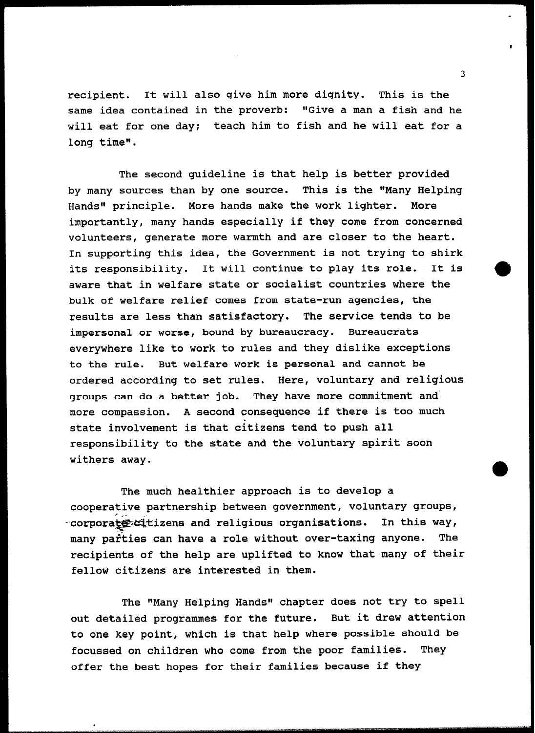recipient. It will also give him more dignity. This is the same idea contained in the proverb: "Give a man a fish and he will eat for one day: teach him to fish and he will eat for a long time".

The second guideline is that help is better provided by many sources than by one source. This is the "Many Helping Hands" principle. More hands make the work lighter. More importantly, many hands especially if they come from concerned volunteers, generate more warmth and are closer to the heart. In supporting this idea, the Government is not trying to shirk its responsibility. It will continue to play its role. It is aware that in welfare state or socialist countries where the bulk of welfare relief comes from state-run agencies, the results are less than satisfactory. The service tends to be impersonal or worse, bound by bureaucracy. Bureaucrats everywhere like to work to rules and they dislike exceptions to the rule. But welfare work is personal and cannot be ordered according to set rules. Here, voluntary and religious groups can do a better job. They have more commitment and' more compassion. A second consequence if there is too much state involvement is that citizens tend to push all responsibility to the state and the voluntary spirit soon withers away.

The much healthier approach is to develop a cooperative partnership between government, voluntary groups, corporate citizens and religious organisations. In this way, many parties can have a role without over-taxing anyone. The recipients of the help are uplifted to know that many of their fellow citizens are interested in them.

The "Many Helping Hands" chapter does not try to spell out detailed programmes for the future. But it drew attention to one key point, which is that help where possible should be focussed on children who come from the poor families. They offer the best hopes for their families because if they

 $\overline{\mathbf{3}}$